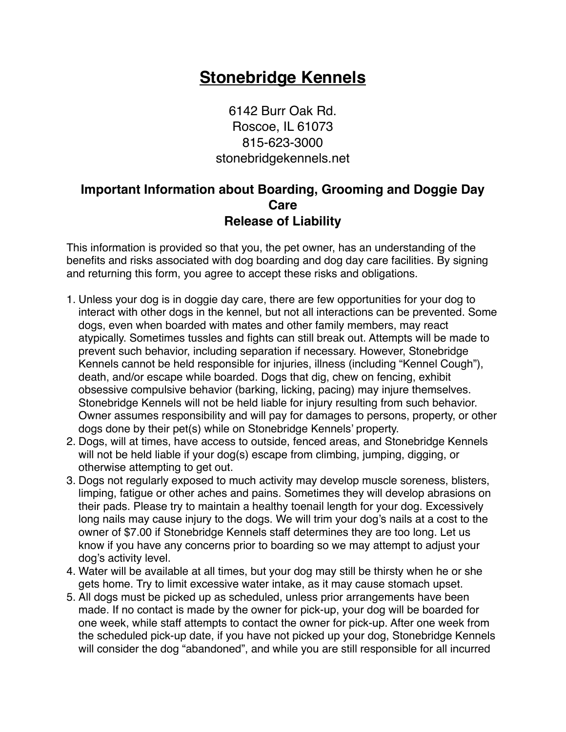## **Stonebridge Kennels**

6142 Burr Oak Rd. Roscoe, IL 61073 815-623-3000 stonebridgekennels.net

## **Important Information about Boarding, Grooming and Doggie Day Care Release of Liability**

This information is provided so that you, the pet owner, has an understanding of the benefits and risks associated with dog boarding and dog day care facilities. By signing and returning this form, you agree to accept these risks and obligations.

- 1. Unless your dog is in doggie day care, there are few opportunities for your dog to interact with other dogs in the kennel, but not all interactions can be prevented. Some dogs, even when boarded with mates and other family members, may react atypically. Sometimes tussles and fights can still break out. Attempts will be made to prevent such behavior, including separation if necessary. However, Stonebridge Kennels cannot be held responsible for injuries, illness (including "Kennel Cough"), death, and/or escape while boarded. Dogs that dig, chew on fencing, exhibit obsessive compulsive behavior (barking, licking, pacing) may injure themselves. Stonebridge Kennels will not be held liable for injury resulting from such behavior. Owner assumes responsibility and will pay for damages to persons, property, or other dogs done by their pet(s) while on Stonebridge Kennels' property.
- 2. Dogs, will at times, have access to outside, fenced areas, and Stonebridge Kennels will not be held liable if your dog(s) escape from climbing, jumping, digging, or otherwise attempting to get out.
- 3. Dogs not regularly exposed to much activity may develop muscle soreness, blisters, limping, fatigue or other aches and pains. Sometimes they will develop abrasions on their pads. Please try to maintain a healthy toenail length for your dog. Excessively long nails may cause injury to the dogs. We will trim your dog's nails at a cost to the owner of \$7.00 if Stonebridge Kennels staff determines they are too long. Let us know if you have any concerns prior to boarding so we may attempt to adjust your dog's activity level.
- 4. Water will be available at all times, but your dog may still be thirsty when he or she gets home. Try to limit excessive water intake, as it may cause stomach upset.
- 5. All dogs must be picked up as scheduled, unless prior arrangements have been made. If no contact is made by the owner for pick-up, your dog will be boarded for one week, while staff attempts to contact the owner for pick-up. After one week from the scheduled pick-up date, if you have not picked up your dog, Stonebridge Kennels will consider the dog "abandoned", and while you are still responsible for all incurred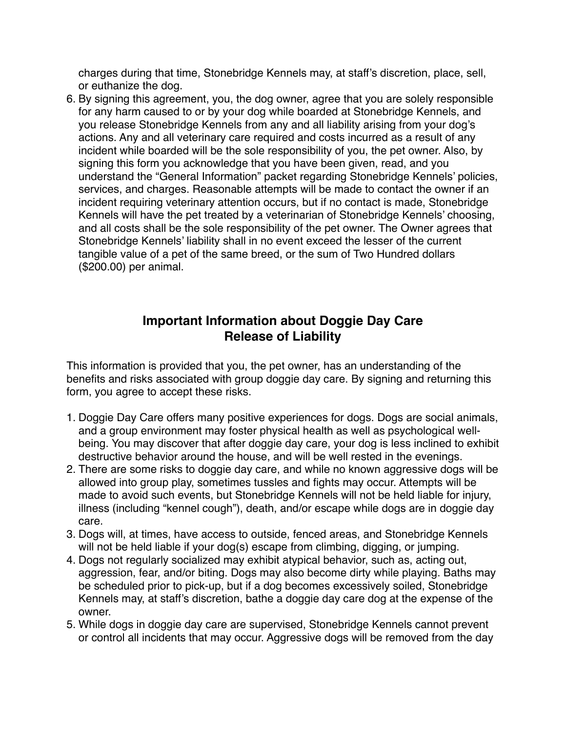charges during that time, Stonebridge Kennels may, at staff's discretion, place, sell, or euthanize the dog.

6. By signing this agreement, you, the dog owner, agree that you are solely responsible for any harm caused to or by your dog while boarded at Stonebridge Kennels, and you release Stonebridge Kennels from any and all liability arising from your dog's actions. Any and all veterinary care required and costs incurred as a result of any incident while boarded will be the sole responsibility of you, the pet owner. Also, by signing this form you acknowledge that you have been given, read, and you understand the "General Information" packet regarding Stonebridge Kennels' policies, services, and charges. Reasonable attempts will be made to contact the owner if an incident requiring veterinary attention occurs, but if no contact is made, Stonebridge Kennels will have the pet treated by a veterinarian of Stonebridge Kennels' choosing, and all costs shall be the sole responsibility of the pet owner. The Owner agrees that Stonebridge Kennels' liability shall in no event exceed the lesser of the current tangible value of a pet of the same breed, or the sum of Two Hundred dollars (\$200.00) per animal.

## **Important Information about Doggie Day Care Release of Liability**

This information is provided that you, the pet owner, has an understanding of the benefits and risks associated with group doggie day care. By signing and returning this form, you agree to accept these risks.

- 1. Doggie Day Care offers many positive experiences for dogs. Dogs are social animals, and a group environment may foster physical health as well as psychological wellbeing. You may discover that after doggie day care, your dog is less inclined to exhibit destructive behavior around the house, and will be well rested in the evenings.
- 2. There are some risks to doggie day care, and while no known aggressive dogs will be allowed into group play, sometimes tussles and fights may occur. Attempts will be made to avoid such events, but Stonebridge Kennels will not be held liable for injury, illness (including "kennel cough"), death, and/or escape while dogs are in doggie day care.
- 3. Dogs will, at times, have access to outside, fenced areas, and Stonebridge Kennels will not be held liable if your dog(s) escape from climbing, digging, or jumping.
- 4. Dogs not regularly socialized may exhibit atypical behavior, such as, acting out, aggression, fear, and/or biting. Dogs may also become dirty while playing. Baths may be scheduled prior to pick-up, but if a dog becomes excessively soiled, Stonebridge Kennels may, at staff's discretion, bathe a doggie day care dog at the expense of the owner.
- 5. While dogs in doggie day care are supervised, Stonebridge Kennels cannot prevent or control all incidents that may occur. Aggressive dogs will be removed from the day